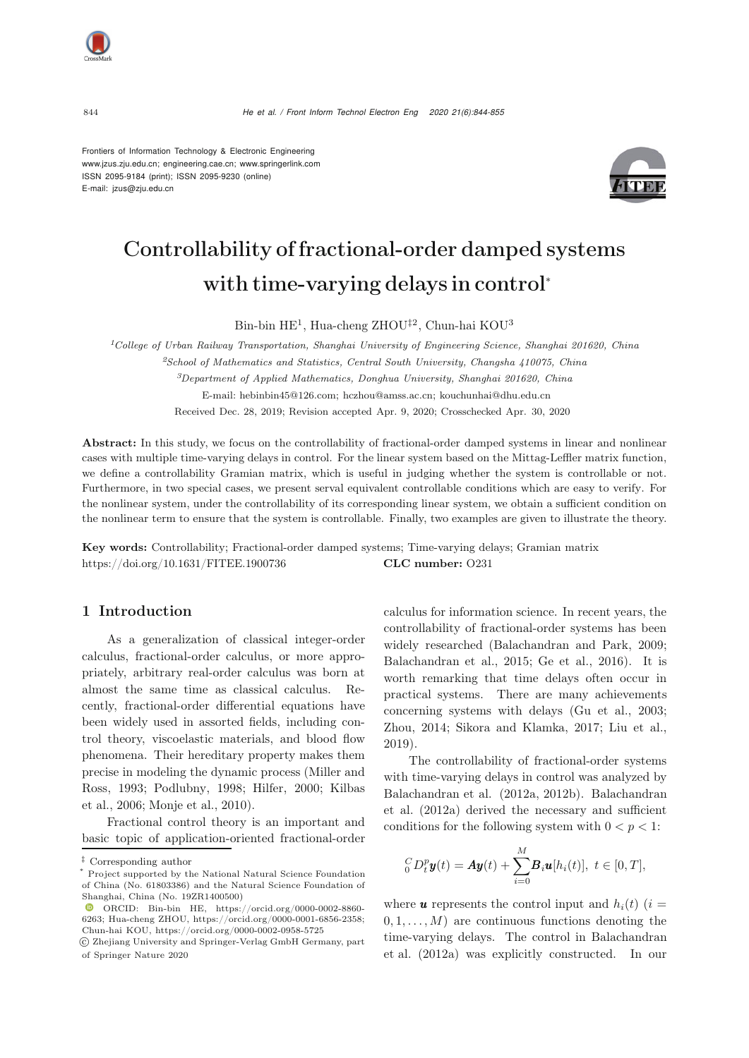<sup>844</sup> *He et al. / Front Inform Technol Electron Eng 2020 21(6):844-855*

Frontiers of Information Technology & Electronic Engineering [www.jzus.zju.edu.cn;](www.jzus.zju.edu.cn) [engineering.cae.cn;](engineering.cae.cn)<www.springerlink.com> ISSN 2095-9184 (print); ISSN 2095-9230 (online) E-mail: jzus@zju.edu.cn



# Controllability of fractional-order damped systems with time-varying delays in control<sup>∗</sup>

Bin-bin HE<sup>1</sup>, Hua-cheng ZHOU‡<sup>2</sup>, Chun-hai KOU<sup>3</sup>

*<sup>1</sup>College of Urban Railway Transportation, Shanghai University of Engineering Science, Shanghai 201620, China*

*<sup>2</sup>School of Mathematics and Statistics, Central South University, Changsha 410075, China*

*<sup>3</sup>Department of Applied Mathematics, Donghua University, Shanghai 201620, China*

E-mail: hebinbin45@126.com; hczhou@amss.ac.cn; kouchunhai@dhu.edu.cn

Received Dec. 28, 2019; Revision accepted Apr. 9, 2020; Crosschecked Apr. 30, 2020

Abstract: In this study, we focus on the controllability of fractional-order damped systems in linear and nonlinear cases with multiple time-varying delays in control. For the linear system based on the Mittag-Leffler matrix function, we define a controllability Gramian matrix, which is useful in judging whether the system is controllable or not. Furthermore, in two special cases, we present serval equivalent controllable conditions which are easy to verify. For the nonlinear system, under the controllability of its corresponding linear system, we obtain a sufficient condition on the nonlinear term to ensure that the system is controllable. Finally, two examples are given to illustrate the theory.

Key words: Controllability; Fractional-order damped systems; Time-varying delays; Gramian matrix https://doi.org/10.1631/FITEE.1900736 **CLC number:** O231

### 1 Introduction

As a generalization of classical integer-order calculus, fractional-order calculus, or more appropriately, arbitrary real-order calculus was born at almost the same time as classical calculus. Recently, fractional-order differential equations have been widely used in assorted fields, including control theory, viscoelastic materials, and blood flow phenomena. Their hereditary property makes them prec[ise](#page-11-0) [in](#page-11-0) [modeling](#page-11-0) [the](#page-11-0) [dynamic](#page-11-0) [process](#page-11-0) [\(](#page-11-0)Miller and Ross[,](#page-10-1) [1993](#page-11-0)[;](#page-10-1) [Podlubny](#page-11-1)[,](#page-10-1) [1998](#page-11-1)[;](#page-10-1) [Hilfer](#page-10-0)[,](#page-10-1) [2000](#page-10-0)[;](#page-10-1) Kilbas et al., [2006;](#page-10-1) [Monje et al.](#page-11-2), [2010](#page-11-2)).

Fractional control theory is an important and basic topic of application-oriented fractional-order calculus for information science. In recent years, the controllability of fractional-order systems has been widely researched [\(Balachandran and Park, 2009;](#page-10-2) [Balachandran et al.](#page-10-3), [2015;](#page-10-3) [Ge et al.](#page-10-4), [2016\)](#page-10-4). It is worth remarking that time delays often occur in practical systems. There are many achievements concerning systems with delays [\(Gu et al.](#page-10-5), [2003;](#page-10-5) [Zhou](#page-11-3), [2014](#page-11-3); [Sikora and Klamka](#page-11-4), [2017;](#page-11-4) [Liu et al.](#page-11-5), [2019](#page-11-5)).

The controllability of fractional-order systems with time-varying delays in control was analyzed by Bala[chandran](#page-10-6) [et](#page-10-6) [al.](#page-10-6) [\(2012a,](#page-10-6) [2012b\).](#page-10-6) Balachandran et al. [\(2012a](#page-10-6)) derived the necessary and sufficient conditions for the following system with  $0 < p < 1$ :

<span id="page-0-0"></span>
$$
{}_0^{C}D_t^p\pmb{y}(t) = \pmb{A}\pmb{y}(t) + \sum_{i=0}^{M}\pmb{B}_i\pmb{u}[h_i(t)], \ t \in [0,T],
$$

where **u** represents the control input and  $h_i(t)$  (i =  $(0, 1, \ldots, M)$  are continuous functions denoting the time-varying delays. The control in Balachandran et al. (2012a) was explicitly constructed. In our

*<sup>‡</sup>* Corresponding author

Project supported by the National Natural Science Foundation of China (No. 61803386) and the Natural Science Foundation of Shanghai, China (No. 19ZR1400500)

 $\bullet$  ORCID: Bin-bin HE, https://orcid.org/0000-0002-8860-6263; Hua-cheng ZHOU, https://orcid.org/0000-0001-6856-2358; Chun-hai KOU, https://orcid.org/0000-0002-0958-5725

c Zhejiang University and Springer-Verlag GmbH Germany, part of Springer Nature 2020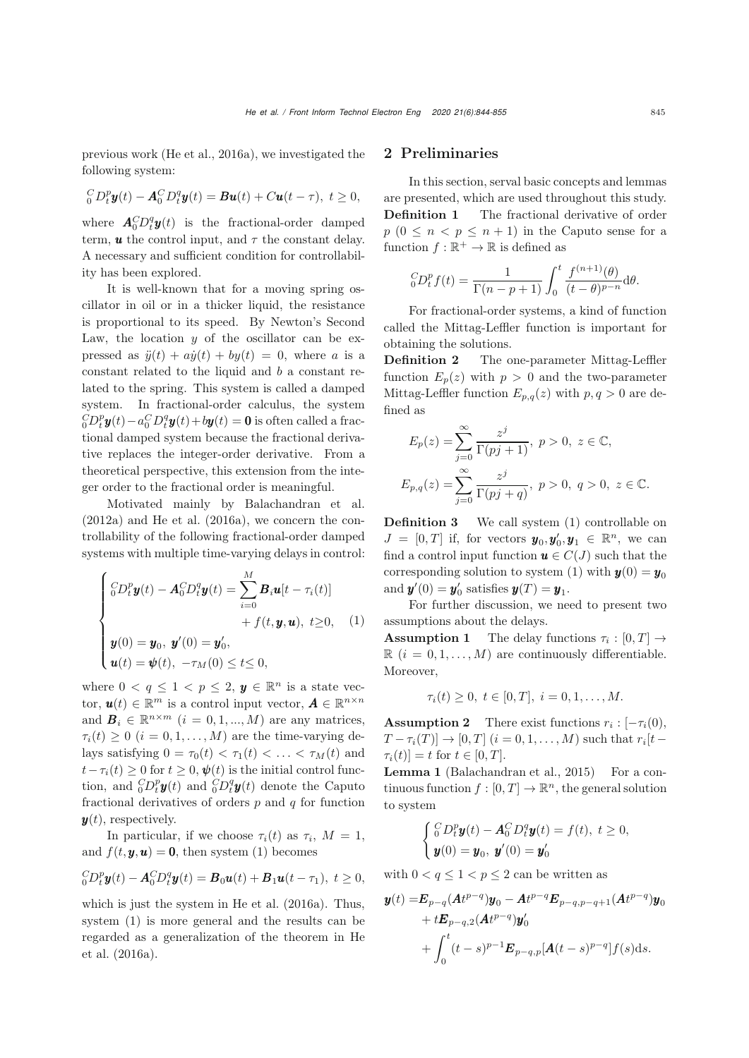previous work [\(He et al.](#page-10-7), [2016a\)](#page-10-7), we investigated the following system:

$$
{}_{0}^{C}D_{t}^{p}\mathbf{y}(t)-\mathbf{A}_{0}^{C}D_{t}^{q}\mathbf{y}(t)=\boldsymbol{B}\mathbf{u}(t)+C\mathbf{u}(t-\tau),\ t\geq 0,
$$

where  $\mathbf{A}_0^C D_t^q \mathbf{y}(t)$  is the fractional-order damped term,  $\boldsymbol{u}$  the control input, and  $\tau$  the constant delay. A necessary and sufficient condition for controllability has been explored.

It is well-known that for a moving spring oscillator in oil or in a thicker liquid, the resistance is proportional to its speed. By Newton's Second Law, the location  $y$  of the oscillator can be expressed as  $\ddot{y}(t) + a\dot{y}(t) + by(t) = 0$ , where a is a constant related to the liquid and b a constant related to the spring. This system is called a damped system. In fractional-order calculus, the system  ${}_{0}^{C}\!D_{t}^{p}\pmb{y}(t)\!-\!a_{0}^{C}D_{t}^{q}\pmb{y}(t)\!+\!b\pmb{y}(t)=\pmb{0}$  is often called a fractional damped system because the fractional derivative replaces the integer-order derivative. From a theoretical perspective, this extension from the integer order to the fractional order is meaningful.

Motivated mainly by [Balachandran et al.](#page-10-6)  $(2012a)$  $(2012a)$  and [He et al.](#page-10-7)  $(2016a)$  $(2016a)$ , we concern the controllability of the following fractional-order damped systems with multiple time-varying delays in control:

$$
\begin{cases} {}^C_0 D_t^p \boldsymbol{y}(t) - \boldsymbol{A}_0^C D_t^q \boldsymbol{y}(t) = \sum_{i=0}^M \boldsymbol{B}_i \boldsymbol{u}[t - \tau_i(t)] \\ + f(t, \boldsymbol{y}, \boldsymbol{u}), \ t \ge 0, \quad (1) \\ \boldsymbol{y}(0) = \boldsymbol{y}_0, \ \boldsymbol{y}'(0) = \boldsymbol{y}'_0, \\ \boldsymbol{u}(t) = \boldsymbol{\psi}(t), \ -\tau_M(0) \le t \le 0, \end{cases}
$$

where  $0 < q \leq 1 < p \leq 2$ ,  $y \in \mathbb{R}^n$  is a state vector,  $\mathbf{u}(t) \in \mathbb{R}^m$  is a control input vector,  $\mathbf{A} \in \mathbb{R}^{n \times n}$ and  $B_i \in \mathbb{R}^{n \times m}$   $(i = 0, 1, ..., M)$  are any matrices,  $\tau_i(t) \geq 0$   $(i = 0, 1, \ldots, M)$  are the time-varying delays satisfying  $0 = \tau_0(t) < \tau_1(t) < \ldots < \tau_M(t)$  and  $t-\tau_i(t) \geq 0$  for  $t \geq 0$ ,  $\psi(t)$  is the initial control function, and  ${}_{0}^{C}D_{t}^{p}y(t)$  and  ${}_{0}^{C}D_{t}^{q}y(t)$  denote the Caputo fractional derivatives of orders  $p$  and  $q$  for function  $y(t)$ , respectively.

In particular, if we choose  $\tau_i(t)$  as  $\tau_i$ ,  $M = 1$ , and  $f(t, y, u) = 0$ , then system [\(1\)](#page-0-0) becomes

$$
{}_0^C D_t^p \boldsymbol{y}(t) - \boldsymbol{A}_0^C D_t^q \boldsymbol{y}(t) = \boldsymbol{B}_0 \boldsymbol{u}(t) + \boldsymbol{B}_1 \boldsymbol{u}(t - \tau_1), \ t \geq 0,
$$

which is just the system in [He et al.](#page-10-7) [\(2016a](#page-10-7)). Thus, system [\(1\)](#page-0-0) is more general and the results can be rega[rded](#page-10-7) [as](#page-10-7) [a](#page-10-7) [generalization](#page-10-7) [of](#page-10-7) [the](#page-10-7) [theorem](#page-10-7) [in](#page-10-7) He et al. [\(2016a](#page-10-7)).

## 2 Preliminaries

In this section, serval basic concepts and lemmas are presented, which are used throughout this study. **Definition 1** The fractional derivative of order  $p (0 \leq n < p \leq n + 1)$  in the Caputo sense for a function  $f : \mathbb{R}^+ \to \mathbb{R}$  is defined as

$$
{}_0^{C}D_t^pf(t)=\frac{1}{\Gamma(n-p+1)}\int_0^t\frac{f^{(n+1)}(\theta)}{(t-\theta)^{p-n}}\mathrm{d}\theta.
$$

For fractional-order systems, a kind of function called the Mittag-Leffler function is important for obtaining the solutions.

Definition 2 The one-parameter Mittag-Leffler function  $E_p(z)$  with  $p > 0$  and the two-parameter Mittag-Leffler function  $E_{p,q}(z)$  with  $p, q > 0$  are defined as

$$
E_p(z) = \sum_{j=0}^{\infty} \frac{z^j}{\Gamma(pj+1)}, \ p > 0, \ z \in \mathbb{C},
$$
  

$$
E_{p,q}(z) = \sum_{j=0}^{\infty} \frac{z^j}{\Gamma(pj+q)}, \ p > 0, \ q > 0, \ z \in \mathbb{C}.
$$

Definition 3 We call system [\(1\)](#page-0-0) controllable on  $J = [0, T]$  if, for vectors  $y_0, y'_0, y_1 \in \mathbb{R}^n$ , we can find a control input function  $u \in C(J)$  such that the corresponding solution to system [\(1\)](#page-0-0) with  $y(0) = y_0$ and  $\mathbf{y}'(0) = \mathbf{y}'_0$  satisfies  $\mathbf{y}(T) = \mathbf{y}_1$ .

For further discussion, we need to present two assumptions about the delays.

**Assumption 1** The delay functions  $\tau_i : [0, T] \rightarrow$  $\mathbb{R}$   $(i = 0, 1, \ldots, M)$  are continuously differentiable. Moreover,

$$
\tau_i(t) \ge 0, \ t \in [0, T], \ i = 0, 1, \dots, M.
$$

**Assumption 2** There exist functions  $r_i : [-\tau_i(0)]$ ,  $T - \tau_i(T)$   $\to$   $[0, T]$   $(i = 0, 1, ..., M)$  such that  $r_i[t \tau_i(t) = t$  for  $t \in [0, T]$ .

Lemma 1 [\(Balachandran et al.](#page-10-3), [2015](#page-10-3)) For a continuous function  $f : [0, T] \to \mathbb{R}^n$ , the general solution to system

$$
\begin{cases} {}_{0}^{C}D_{t}^{p} \mathbf{y}(t) - \mathbf{A}_{0}^{C}D_{t}^{q} \mathbf{y}(t) = f(t), \ t \geq 0, \\ \mathbf{y}(0) = \mathbf{y}_{0}, \ \mathbf{y}'(0) = \mathbf{y}'_{0} \end{cases}
$$

with  $0 < q \leq 1 < p \leq 2$  can be written as

$$
\mathbf{y}(t) = \mathbf{E}_{p-q} (\mathbf{A}t^{p-q}) \mathbf{y}_0 - \mathbf{A}t^{p-q} \mathbf{E}_{p-q,p-q+1} (\mathbf{A}t^{p-q}) \mathbf{y}_0 + t\mathbf{E}_{p-q,2} (\mathbf{A}t^{p-q}) \mathbf{y}_0' + \int_0^t (t-s)^{p-1} \mathbf{E}_{p-q,p} [\mathbf{A}(t-s)^{p-q}] f(s) ds.
$$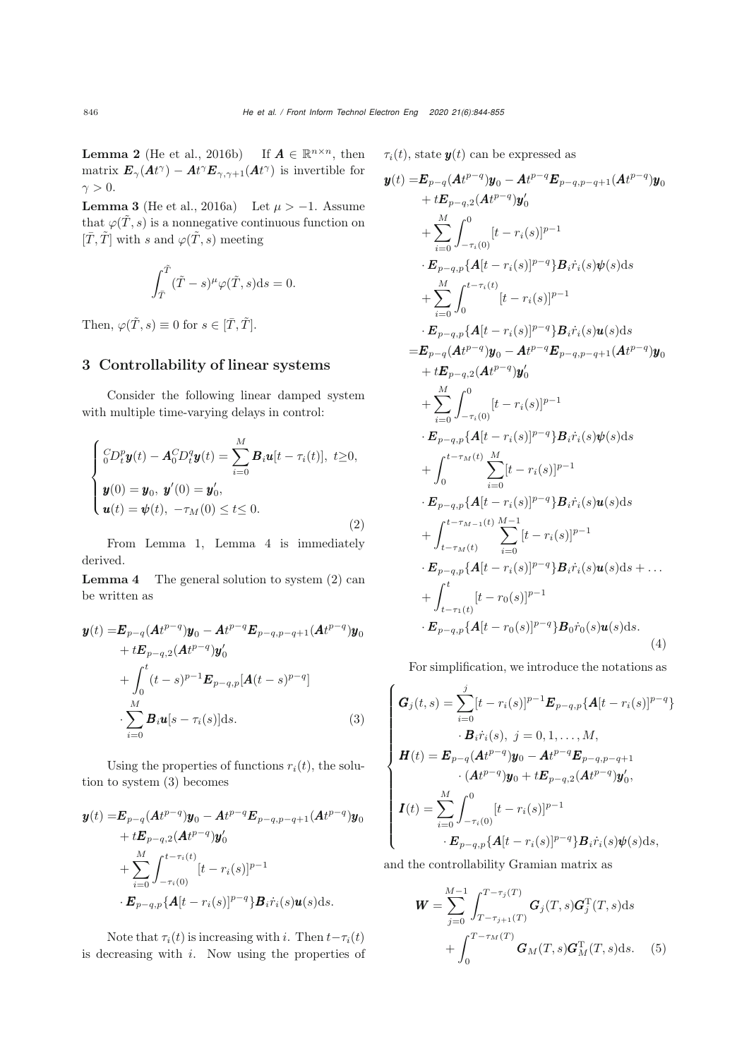**Lemma 2** [\(He et al.](#page-10-8), [2016b](#page-10-8)) If  $A \in \mathbb{R}^{n \times n}$ , then matrix  $\mathbf{E}_{\gamma}(\mathbf{A}t^{\gamma}) - \mathbf{A}t^{\gamma}\mathbf{E}_{\gamma,\gamma+1}(\mathbf{A}t^{\gamma})$  is invertible for  $\gamma > 0$ .

**Lemma 3** [\(He et al.](#page-10-7), [2016a\)](#page-10-7) Let  $\mu > -1$ . Assume that  $\varphi(\tilde{T},s)$  is a nonnegative continuous function on  $[\bar{T}, \tilde{T}]$  with s and  $\varphi(\tilde{T}, s)$  meeting

$$
\int_{\tilde{T}}^{\tilde{T}} (\tilde{T} - s)^{\mu} \varphi(\tilde{T}, s) ds = 0.
$$

Then,  $\varphi(\tilde{T},s) \equiv 0$  for  $s \in [\bar{T}, \tilde{T}].$ 

## 3 Controllability of linear systems

Consider the following linear damped system with multiple time-varying delays in control:

<span id="page-2-0"></span>
$$
\begin{cases}\n\ _{0}^{C}D_{t}^{p}\mathbf{y}(t)-\mathbf{A}_{0}^{C}D_{t}^{q}\mathbf{y}(t)=\sum_{i=0}^{M}\mathbf{B}_{i}\mathbf{u}[t-\tau_{i}(t)],\ t\geq0, \\
\mathbf{y}(0)=\mathbf{y}_{0},\ \mathbf{y}'(0)=\mathbf{y}'_{0}, \\
\mathbf{u}(t)=\mathbf{\psi}(t),\ -\tau_{M}(0)\leq t\leq0.\n\end{cases}
$$
\n(2)

From Lemma 1, Lemma 4 is immediately derived.

**Lemma 4** The general solution to system  $(2)$  can be written as

$$
\mathbf{y}(t) = \mathbf{E}_{p-q}(\mathbf{A}t^{p-q})\mathbf{y}_0 - \mathbf{A}t^{p-q}\mathbf{E}_{p-q,p-q+1}(\mathbf{A}t^{p-q})\mathbf{y}_0 \n+ \mathbf{E}_{p-q,2}(\mathbf{A}t^{p-q})\mathbf{y}_0' \n+ \int_0^t (t-s)^{p-1}\mathbf{E}_{p-q,p}[\mathbf{A}(t-s)^{p-q}] \n\cdot \sum_{i=0}^M \mathbf{B}_i \mathbf{u}[s-\tau_i(s)]ds.
$$
\n(3)

Using the properties of functions  $r_i(t)$ , the solution to system [\(3\)](#page-2-1) becomes

$$
\mathbf{y}(t) = \mathbf{E}_{p-q} (\mathbf{A}t^{p-q}) \mathbf{y}_0 - \mathbf{A}t^{p-q} \mathbf{E}_{p-q,p-q+1} (\mathbf{A}t^{p-q}) \mathbf{y}_0 \n+ t\mathbf{E}_{p-q,2} (\mathbf{A}t^{p-q}) \mathbf{y}_0' \n+ \sum_{i=0}^M \int_{-\tau_i(0)}^{t-\tau_i(t)} [t-r_i(s)]^{p-1} \n\cdot \mathbf{E}_{p-q,p} {\mathbf{A}[t-r_i(s)]^{p-q}} \mathbf{B}_i \dot{r}_i(s) \mathbf{u}(s) \, ds.
$$

Note that  $\tau_i(t)$  is increasing with i. Then  $t-\tau_i(t)$ is decreasing with  $i$ . Now using the properties of  $\tau_i(t)$ , state  $y(t)$  can be expressed as

$$
\mathbf{y}(t) = \mathbf{E}_{p-q}(A t^{p-q})\mathbf{y}_0 - A t^{p-q} \mathbf{E}_{p-q,p-q+1}(A t^{p-q})\mathbf{y}_0 \n+ t\mathbf{E}_{p-q,2}(A t^{p-q})\mathbf{y}_0' \n+ \sum_{i=0}^{M} \int_{-\tau_i(0)}^{0} [t - r_i(s)]^{p-1} \n\cdot \mathbf{E}_{p-q,p} \{A[t - r_i(s)]^{p-q}\} B_i \dot{r}_i(s) \psi(s) ds \n+ \sum_{i=0}^{M} \int_{0}^{t - \tau_i(t)} [t - r_i(s)]^{p-1} \n\cdot \mathbf{E}_{p-q,p} \{A[t - r_i(s)]^{p-q}\} B_i \dot{r}_i(s) \mathbf{u}(s) ds \n= \mathbf{E}_{p-q}(A t^{p-q})\mathbf{y}_0 - A t^{p-q} \mathbf{E}_{p-q,p-q+1}(A t^{p-q})\mathbf{y}_0 \n+ t\mathbf{E}_{p-q,2}(A t^{p-q})\mathbf{y}_0' \n+ \sum_{i=0}^{M} \int_{-\tau_i(0)}^{0} [t - r_i(s)]^{p-1} \n\cdot \mathbf{E}_{p-q,p} \{A[t - r_i(s)]^{p-q}\} B_i \dot{r}_i(s) \psi(s) ds \n+ \int_{0}^{t - \tau_{M}(t)} \sum_{i=0}^{M} [t - r_i(s)]^{p-1} \n\cdot \mathbf{E}_{p-q,p} \{A[t - r_i(s)]^{p-q}\} B_i \dot{r}_i(s) \mathbf{u}(s) ds \n+ \int_{t - \tau_{M}(t)}^{t - \tau_{M-1}(t)} \sum_{i=0}^{M-1} [t - r_i(s)]^{p-1} \n\cdot \mathbf{E}_{p-q,p} \{A[t - r_i(s)]^{p-q}\} B_i \dot{r}_i(s) \mathbf{u}(s) ds + \dots \n+ \int_{t - \tau_1(t)}^{t} [t - r_0(s)]^{p-q}\} B_0 \dot{r}_0(s) \mathbf{u}(s) ds.
$$
\n(4)

<span id="page-2-2"></span>For simplification, we introduce the notations as

<span id="page-2-3"></span><span id="page-2-1"></span>
$$
\begin{cases}\nG_j(t,s) = \sum_{i=0}^j [t - r_i(s)]^{p-1} E_{p-q,p} \{A[t - r_i(s)]^{p-q}\} \\
B_i \dot{r}_i(s), j = 0, 1, ..., M, \\
H(t) = E_{p-q}(At^{p-q})y_0 - At^{p-q} E_{p-q,p-q+1} \\
\cdot (At^{p-q})y_0 + t E_{p-q,2}(At^{p-q})y'_0, \\
I(t) = \sum_{i=0}^M \int_{-\tau_i(0)}^0 [t - r_i(s)]^{p-1} \\
B_{p-q,p} \{A[t - r_i(s)]^{p-q}\} B_i \dot{r}_i(s) \psi(s) \, ds,\n\end{cases}
$$

and the controllability Gramian matrix as

$$
\boldsymbol{W} = \sum_{j=0}^{M-1} \int_{T-\tau_j(T)}^{T-\tau_j(T)} \boldsymbol{G}_j(T,s) \boldsymbol{G}_j^{\mathrm{T}}(T,s) \mathrm{d}s
$$

$$
+ \int_0^{T-\tau_M(T)} \boldsymbol{G}_M(T,s) \boldsymbol{G}_M^{\mathrm{T}}(T,s) \mathrm{d}s. \quad (5)
$$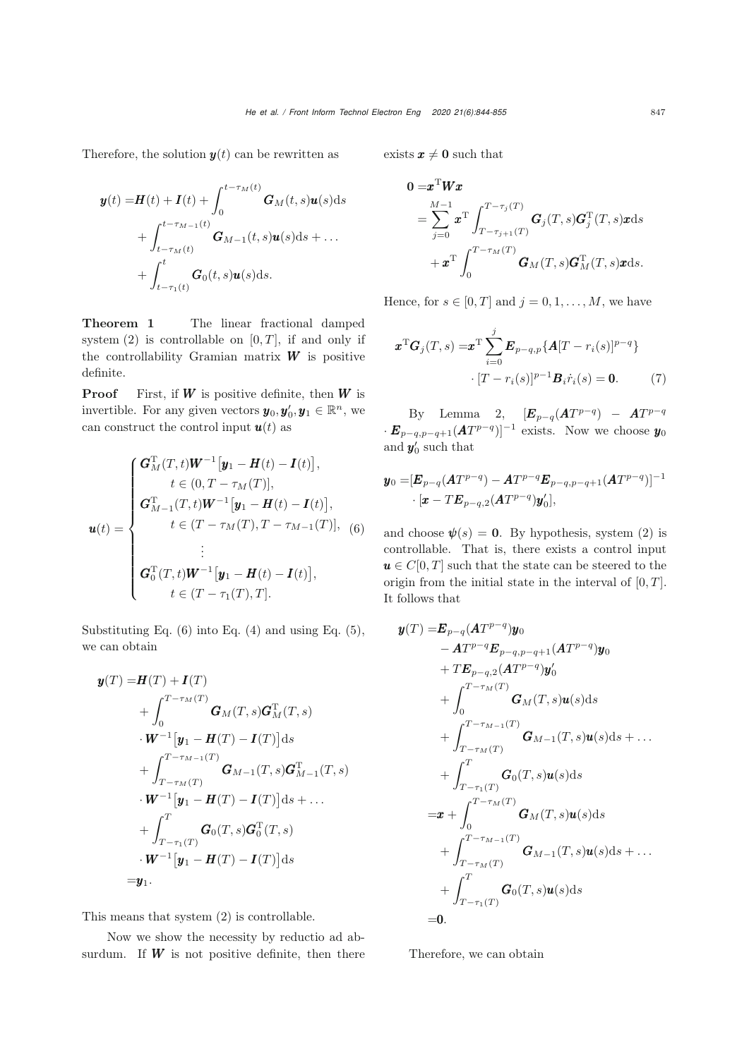Therefore, the solution  $y(t)$  can be rewritten as

<span id="page-3-0"></span>
$$
\mathbf{y}(t) = \mathbf{H}(t) + \mathbf{I}(t) + \int_0^{t-\tau_M(t)} \mathbf{G}_M(t,s) \mathbf{u}(s) ds
$$
  
+ 
$$
\int_{t-\tau_M(t)}^{t-\tau_{M-1}(t)} \mathbf{G}_{M-1}(t,s) \mathbf{u}(s) ds + \dots
$$
  
+ 
$$
\int_{t-\tau_1(t)}^t \mathbf{G}_0(t,s) \mathbf{u}(s) ds.
$$

Theorem 1 The linear fractional damped system  $(2)$  is controllable on  $[0, T]$ , if and only if the controllability Gramian matrix  $W$  is positive definite.

**Proof** First, if  $W$  is positive definite, then  $W$  is invertible. For any given vectors  $y_0, y'_0, y_1 \in \mathbb{R}^n$ , we can construct the control input  $u(t)$  as

$$
\mathbf{u}(t) = \begin{cases}\n\mathbf{G}_{M}^{T}(T,t)\mathbf{W}^{-1}[\mathbf{y}_{1} - \mathbf{H}(t) - \mathbf{I}(t)], \\
t \in (0, T - \tau_{M}(T)], \\
\mathbf{G}_{M-1}^{T}(T,t)\mathbf{W}^{-1}[\mathbf{y}_{1} - \mathbf{H}(t) - \mathbf{I}(t)], \\
t \in (T - \tau_{M}(T), T - \tau_{M-1}(T)], \\
\vdots \\
\mathbf{G}_{0}^{T}(T,t)\mathbf{W}^{-1}[\mathbf{y}_{1} - \mathbf{H}(t) - \mathbf{I}(t)], \\
t \in (T - \tau_{1}(T), T].\n\end{cases}
$$

Substituting Eq.  $(6)$  into Eq.  $(4)$  and using Eq.  $(5)$ , we can obtain

$$
\mathbf{y}(T) = \mathbf{H}(T) + \mathbf{I}(T)
$$
\n
$$
+ \int_0^{T-\tau_M(T)} \mathbf{G}_M(T,s) \mathbf{G}_M^{\mathrm{T}}(T,s)
$$
\n
$$
\cdot \mathbf{W}^{-1} [\mathbf{y}_1 - \mathbf{H}(T) - \mathbf{I}(T)] \, \mathrm{d}s
$$
\n
$$
+ \int_{T-\tau_M(T)}^{T-\tau_{M-1}(T)} \mathbf{G}_{M-1}(T,s) \mathbf{G}_{M-1}^{\mathrm{T}}(T,s)
$$
\n
$$
\cdot \mathbf{W}^{-1} [\mathbf{y}_1 - \mathbf{H}(T) - \mathbf{I}(T)] \, \mathrm{d}s + \dots
$$
\n
$$
+ \int_{T-\tau_1(T)}^{T} \mathbf{G}_0(T,s) \mathbf{G}_0^{\mathrm{T}}(T,s)
$$
\n
$$
\cdot \mathbf{W}^{-1} [\mathbf{y}_1 - \mathbf{H}(T) - \mathbf{I}(T)] \, \mathrm{d}s
$$
\n
$$
= \mathbf{y}_1.
$$

This means that system [\(2\)](#page-2-0) is controllable.

Now we show the necessity by reductio ad absurdum. If  $W$  is not positive definite, then there exists  $x \neq 0$  such that

$$
0 = \mathbf{x}^{\mathrm{T}} \mathbf{W} \mathbf{x}
$$
  
= 
$$
\sum_{j=0}^{M-1} \mathbf{x}^{\mathrm{T}} \int_{T-\tau_{j+1}(T)}^{T-\tau_{j}(T)} \mathbf{G}_{j}(T,s) \mathbf{G}_{j}^{\mathrm{T}}(T,s) \mathbf{x} \, \mathrm{d}s
$$
  
+ 
$$
\mathbf{x}^{\mathrm{T}} \int_{0}^{T-\tau_{M}(T)} \mathbf{G}_{M}(T,s) \mathbf{G}_{M}^{\mathrm{T}}(T,s) \mathbf{x} \, \mathrm{d}s.
$$

Hence, for  $s \in [0, T]$  and  $j = 0, 1, \ldots, M$ , we have

<span id="page-3-1"></span>
$$
\boldsymbol{x}^{\mathrm{T}}\boldsymbol{G}_j(T,s) = \boldsymbol{x}^{\mathrm{T}}\sum_{i=0}^j \boldsymbol{E}_{p-q,p}\{\boldsymbol{A}[T-r_i(s)]^{p-q}\}
$$

$$
\cdot [T-r_i(s)]^{p-1}\boldsymbol{B}_i\dot{r}_i(s) = \mathbf{0}.\tag{7}
$$

By Lemma 2,  $[\mathbf{E}_{p-q}(\mathbf{A}T^{p-q}) - \mathbf{A}T^{p-q}]$  $\cdot E_{p-q,p-q+1}(AT^{p-q})]^{-1}$  exists. Now we choose  $y_0$ and  $y'_0$  such that

$$
\begin{aligned} \boldsymbol{y}_0 = & [\boldsymbol{E}_{p-q}(A T^{p-q}) - A T^{p-q} \boldsymbol{E}_{p-q,p-q+1}(A T^{p-q})]^{-1} \\ & \cdot [\boldsymbol{x} - T \boldsymbol{E}_{p-q,2}(A T^{p-q}) \boldsymbol{y}_0'], \end{aligned}
$$

and choose  $\psi(s) = 0$ . By hypothesis, system [\(2\)](#page-2-0) is controllable. That is, there exists a control input  $u \in C[0,T]$  such that the state can be steered to the origin from the initial state in the interval of  $[0, T]$ . It follows that

$$
\mathbf{y}(T) = \mathbf{E}_{p-q}(AT^{p-q})\mathbf{y}_0 \n- AT^{p-q}\mathbf{E}_{p-q,p-q+1}(AT^{p-q})\mathbf{y}_0 \n+ TE_{p-q,2}(AT^{p-q})\mathbf{y}_0' \n+ \int_0^{T-\tau_M(T)} \mathbf{G}_M(T,s)\mathbf{u}(s)ds \n+ \int_{T-\tau_M(T)}^{T-\tau_{M-1}(T)} \mathbf{G}_{M-1}(T,s)\mathbf{u}(s)ds + ... \n+ \int_{T-\tau_1(T)}^{T} \mathbf{G}_0(T,s)\mathbf{u}(s)ds \n= \mathbf{x} + \int_0^{T-\tau_M(T)} \mathbf{G}_M(T,s)\mathbf{u}(s)ds \n+ \int_{T-\tau_M(T)}^{T-\tau_{M-1}(T)} \mathbf{G}_{M-1}(T,s)\mathbf{u}(s)ds + ... \n+ \int_{T-\tau_1(T)}^{T} \mathbf{G}_0(T,s)\mathbf{u}(s)ds \n= 0.
$$

Therefore, we can obtain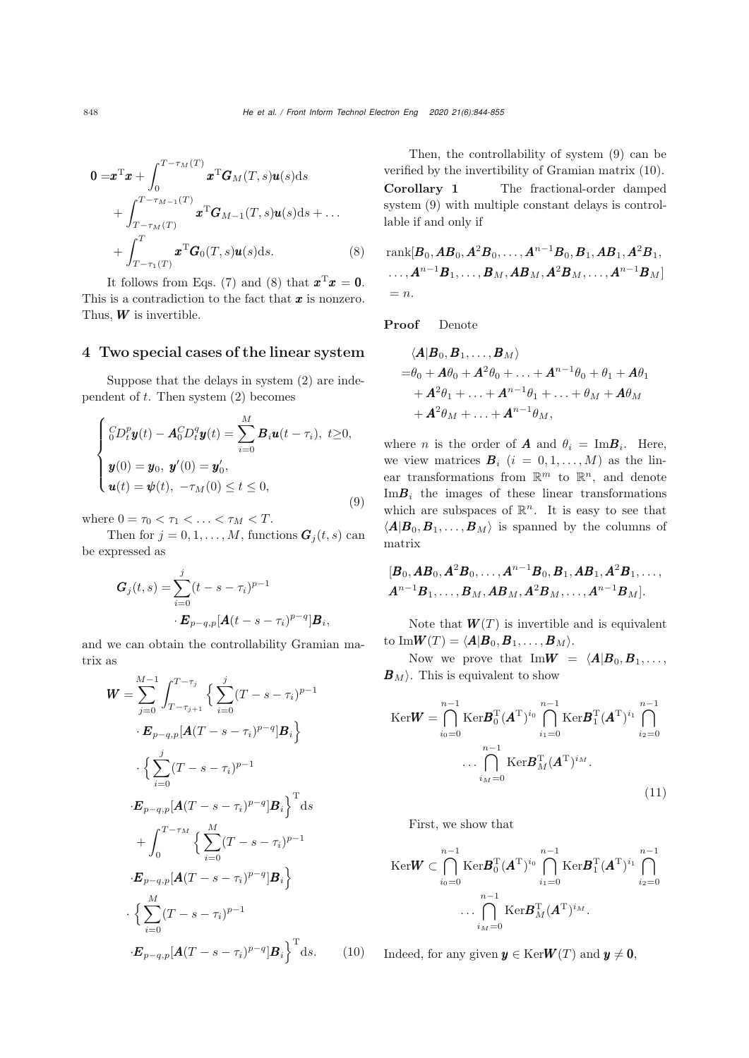<span id="page-4-0"></span>
$$
\mathbf{0} = \mathbf{x}^{\mathrm{T}} \mathbf{x} + \int_{0}^{T-\tau_M(T)} \mathbf{x}^{\mathrm{T}} \mathbf{G}_M(T,s) \mathbf{u}(s) \, \mathrm{d}s
$$
\n
$$
+ \int_{T-\tau_M(T)}^{T-\tau_{M-1}(T)} \mathbf{x}^{\mathrm{T}} \mathbf{G}_{M-1}(T,s) \mathbf{u}(s) \, \mathrm{d}s + \dots
$$
\n
$$
+ \int_{T-\tau_1(T)}^{T} \mathbf{x}^{\mathrm{T}} \mathbf{G}_0(T,s) \mathbf{u}(s) \, \mathrm{d}s. \tag{8}
$$

It follows from Eqs. [\(7\)](#page-3-1) and [\(8\)](#page-4-0) that  $\mathbf{x}^T \mathbf{x} = \mathbf{0}$ . This is a contradiction to the fact that  $\boldsymbol{x}$  is nonzero. Thus,  $W$  is invertible.

#### 4 Two special cases of the linear system

Suppose that the delays in system [\(2\)](#page-2-0) are independent of  $t$ . Then system  $(2)$  becomes

<span id="page-4-1"></span>
$$
\begin{cases} {}^{C}_{0}D_{t}^{p} \mathbf{y}(t) - \mathbf{A}_{0}^{C}D_{t}^{q} \mathbf{y}(t) = \sum_{i=0}^{M} \mathbf{B}_{i} \mathbf{u}(t - \tau_{i}), \ t \geq 0, \\ \mathbf{y}(0) = \mathbf{y}_{0}, \ \mathbf{y}'(0) = \mathbf{y}'_{0}, \\ \mathbf{u}(t) = \mathbf{\psi}(t), \ -\tau_{M}(0) \leq t \leq 0, \end{cases}
$$
\n(9)

where  $0 = \tau_0 < \tau_1 < \ldots < \tau_M < T$ .

Then for  $j = 0, 1, ..., M$ , functions  $G_i(t, s)$  can be expressed as

$$
G_j(t,s) = \sum_{i=0}^j (t - s - \tau_i)^{p-1} \cdot E_{p-q,p}[A(t - s - \tau_i)^{p-q}]B_i,
$$

and we can obtain the controllability Gramian matrix as

<span id="page-4-2"></span>
$$
\mathbf{W} = \sum_{j=0}^{M-1} \int_{T-\tau_{j+1}}^{T-\tau_{j}} \left\{ \sum_{i=0}^{j} (T-s-\tau_{i})^{p-1} \right. \n\cdot \mathbf{E}_{p-q,p}[\mathbf{A}(T-s-\tau_{i})^{p-q}] \mathbf{B}_{i} \right\} \n\cdot \left\{ \sum_{i=0}^{j} (T-s-\tau_{i})^{p-1} \right. \n\cdot \mathbf{E}_{p-q,p}[\mathbf{A}(T-s-\tau_{i})^{p-q}] \mathbf{B}_{i} \right\}^{\text{T}} \text{d}s \n\quad + \int_{0}^{T-\tau_{M}} \left\{ \sum_{i=0}^{M} (T-s-\tau_{i})^{p-1} \right. \n\cdot \mathbf{E}_{p-q,p}[\mathbf{A}(T-s-\tau_{i})^{p-q}] \mathbf{B}_{i} \right\} \n\cdot \left\{ \sum_{i=0}^{M} (T-s-\tau_{i})^{p-1} \right. \n\cdot \mathbf{E}_{p-q,p}[\mathbf{A}(T-s-\tau_{i})^{p-q}] \mathbf{B}_{i} \right\}^{\text{T}} \text{d}s. \tag{10}
$$

Then, the controllability of system [\(9\)](#page-4-1) can be verified by the invertibility of Gramian matrix [\(10\)](#page-4-2). Corollary 1 The fractional-order damped system [\(9\)](#page-4-1) with multiple constant delays is controllable if and only if

rank[B0,AB0,A2B0,...,An−<sup>1</sup> B0,B1,AB1,A2B1, ...,An−1 B1,...,B<sup>M</sup> ,AB<sup>M</sup> ,A<sup>2</sup> B<sup>M</sup> ,...,An−<sup>1</sup> B<sup>M</sup> ] = n.

Proof Denote

$$
\langle A|B_0, B_1, \ldots, B_M \rangle
$$
  
=  $\theta_0 + A\theta_0 + A^2\theta_0 + \ldots + A^{n-1}\theta_0 + \theta_1 + A\theta_1 + A^2\theta_1 + \ldots + A^{n-1}\theta_1 + \ldots + \theta_M + A\theta_M + A^2\theta_M + \ldots + A^{n-1}\theta_M,$ 

where *n* is the order of **A** and  $\theta_i = \text{Im} \mathbf{B}_i$ . Here, we view matrices  $\mathbf{B}_i$   $(i = 0, 1, \ldots, M)$  as the linear transformations from  $\mathbb{R}^m$  to  $\mathbb{R}^n$ , and denote  $\text{Im} \mathbf{B}_i$  the images of these linear transformations which are subspaces of  $\mathbb{R}^n$ . It is easy to see that  $\langle A|B_0,B_1,\ldots,B_M\rangle$  is spanned by the columns of matrix

$$
[\bm{B}_0, \bm{AB}_0, \bm{A}^2\bm{B}_0, \ldots, \bm{A}^{n-1}\bm{B}_0, \bm{B}_1, \bm{AB}_1, \bm{A}^2\bm{B}_1, \ldots, \\ \bm{A}^{n-1}\bm{B}_1, \ldots, \bm{B}_M, \bm{AB}_M, \bm{A}^2\bm{B}_M, \ldots, \bm{A}^{n-1}\bm{B}_M].
$$

Note that  $W(T)$  is invertible and is equivalent to  $\text{Im}W(T) = \langle A|B_0, B_1, \ldots, B_M \rangle$ .

Now we prove that  $\text{Im}\mathbf{W} = \langle \mathbf{A}|\mathbf{B}_0,\mathbf{B}_1,\ldots, \mathbf{A}_n\rangle$  $B_M$ . This is equivalent to show

<span id="page-4-3"></span>
$$
\operatorname{Ker}\nolimits W = \bigcap_{i_0=0}^{n-1} \operatorname{Ker}\nolimits B_0^{\mathrm{T}}(A^{\mathrm{T}})^{i_0} \bigcap_{i_1=0}^{n-1} \operatorname{Ker}\nolimits B_1^{\mathrm{T}}(A^{\mathrm{T}})^{i_1} \bigcap_{i_2=0}^{n-1}
$$

$$
\dots \bigcap_{i_M=0}^{n-1} \operatorname{Ker}\nolimits B_M^{\mathrm{T}}(A^{\mathrm{T}})^{i_M}.
$$
 (11)

First, we show that

$$
\begin{aligned} \text{Ker}\mathbf{W} &\subset \bigcap_{i_0=0}^{n-1} \text{Ker}\mathbf{B}_0^{\text{T}}(\mathbf{A}^{\text{T}})^{i_0} \bigcap_{i_1=0}^{n-1} \text{Ker}\mathbf{B}_1^{\text{T}}(\mathbf{A}^{\text{T}})^{i_1} \bigcap_{i_2=0}^{n-1} \\ &\cdots \bigcap_{i_M=0}^{n-1} \text{Ker}\mathbf{B}_M^{\text{T}}(\mathbf{A}^{\text{T}})^{i_M} .\end{aligned}
$$

Indeed, for any given  $y \in \text{Ker}W(T)$  and  $y \neq 0$ ,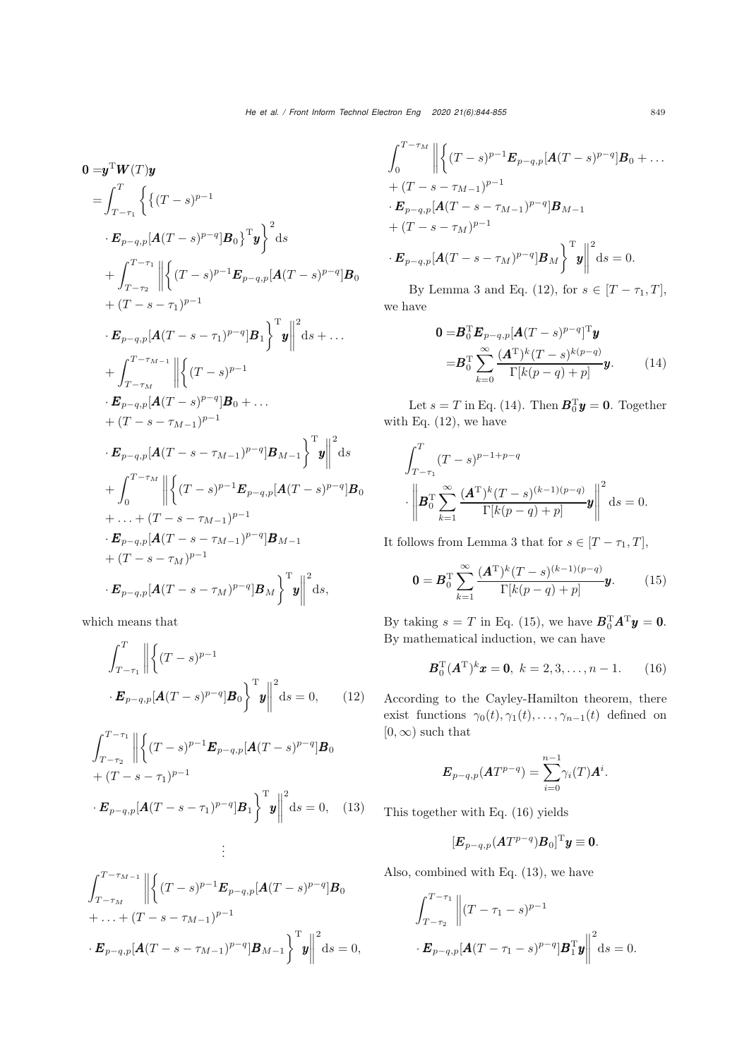$$
0 = y^T W(T)y
$$
  
\n
$$
= \int_{T-\tau_1}^T \left\{ \left\{ (T-s)^{p-1} \right\}^2 \right\}^2 ds
$$
  
\n
$$
+ \int_{T-\tau_2}^{T-\tau_1} \left\| \left\{ (T-s)^{p-1} E_{p-q,p} [A(T-s)^{p-q}] B_0 \right\}^2 ds
$$
  
\n
$$
+ (T-s-\tau_1)^{p-1}
$$
  
\n
$$
\cdot E_{p-q,p} [A(T-s-\tau_1)^{p-q}] B_1 \right\}^T y \Big\|^2 ds + ...
$$
  
\n
$$
+ \int_{T-\tau_M}^{T-\tau_{M-1}} \left\| \left\{ (T-s)^{p-1} \right\}^2 ds + ...
$$
  
\n
$$
+ (T-s-\tau_{M-1})^{p-1}
$$
  
\n
$$
\cdot E_{p-q,p} [A(T-s)^{p-q}] B_0 + ...
$$
  
\n
$$
+ (T-s-\tau_{M-1})^{p-1}
$$
  
\n
$$
\cdot E_{p-q,p} [A(T-s-\tau_{M-1})^{p-q}] B_{M-1} \right\}^T y \Big\|^2 ds
$$
  
\n
$$
+ \int_0^{T-\tau_M} \left\| \left\{ (T-s)^{p-1} E_{p-q,p} [A(T-s)^{p-q}] B_0 \right\}^2 ds + ... + (T-s-\tau_{M-1})^{p-1} B_{M-1}
$$
  
\n
$$
+ (T-s-\tau_M)^{p-1}
$$
  
\n
$$
\cdot E_{p-q,p} [A(T-s-\tau_M)^{p-q}] B_M \right\}^T y \Big\|^2 ds,
$$

which means that

<span id="page-5-0"></span>
$$
\int_{T-\tau_1}^{T} \left\| \left\{ (T-s)^{p-1} \right\} \cdot \mathbf{E}_{p-q,p} [\mathbf{A} (T-s)^{p-q}] \mathbf{B}_0 \right\}^{\mathrm{T}} \mathbf{y} \left\| \right\|^2 \mathrm{d}s = 0, \qquad (12)
$$

<span id="page-5-4"></span>
$$
\int_{T-\tau_2}^{T-\tau_1} \left\| \left\{ (T-s)^{p-1} \mathbf{E}_{p-q,p} [\mathbf{A} (T-s)^{p-q}] \mathbf{B}_0 \right. \right.\left. + (T-s-\tau_1)^{p-1} \right\}^T \mathbf{y} \left\| \right. ^2 ds = 0, \quad (13)
$$
  
:

$$
\int_{T-\tau_M}^{T-\tau_{M-1}} \left\| \left\{ (T-s)^{p-1} \mathbf{E}_{p-q,p} [\mathbf{A}(T-s)^{p-q}] \mathbf{B}_0 \right. \right.+ \dots + (T-s-\tau_{M-1})^{p-1} \cdot \mathbf{E}_{p-q,p} [\mathbf{A}(T-s-\tau_{M-1})^{p-q}] \mathbf{B}_{M-1} \right\}^{\mathrm{T}} \mathbf{y} \left\| \right. ^2 \mathrm{d}s = 0,
$$

$$
\int_0^{T-\tau_M} \left\| \left\{ (T-s)^{p-1} \mathbf{E}_{p-q,p} [\mathbf{A}(T-s)^{p-q}] \mathbf{B}_0 + \dots \right. \right. \right. \\ \left. + (T-s-\tau_{M-1})^{p-1} \cdot \mathbf{E}_{p-q,p} [\mathbf{A}(T-s-\tau_{M-1})^{p-q}] \mathbf{B}_{M-1} \\ \left. + (T-s-\tau_M)^{p-1} \cdot \mathbf{E}_{p-q,p} [\mathbf{A}(T-s-\tau_M)^{p-q}] \mathbf{B}_M \right\}^{\mathrm{T}} \mathbf{y} \right\|^2 \mathrm{d}s = 0.
$$

By Lemma 3 and Eq. [\(12\)](#page-5-0), for  $s \in [T - \tau_1, T]$ , we have

$$
\mathbf{0} = \mathbf{B}_0^{\mathrm{T}} \mathbf{E}_{p-q,p} [\mathbf{A}(T-s)^{p-q}]^{\mathrm{T}} \mathbf{y}
$$

$$
= \mathbf{B}_0^{\mathrm{T}} \sum_{k=0}^{\infty} \frac{(\mathbf{A}^{\mathrm{T}})^k (T-s)^{k(p-q)}}{\Gamma[k(p-q)+p]} \mathbf{y}.
$$
(14)

<span id="page-5-1"></span>Let  $s = T$  in Eq. [\(14\)](#page-5-1). Then  $\mathbf{B}_0^{\mathrm{T}} \mathbf{y} = \mathbf{0}$ . Together with Eq.  $(12)$ , we have

$$
\int_{T-\tau_1}^T (T-s)^{p-1+p-q} \cdot \left\| \mathbf{B}_0^{\mathrm{T}} \sum_{k=1}^\infty \frac{(\mathbf{A}^{\mathrm{T}})^k (T-s)^{(k-1)(p-q)}}{\Gamma[k(p-q)+p]} \mathbf{y} \right\|^2 \, \mathrm{d}s = 0.
$$

It follows from Lemma 3 that for  $s \in [T - \tau_1, T]$ ,

<span id="page-5-2"></span>
$$
\mathbf{0} = \boldsymbol{B}_0^{\mathrm{T}} \sum_{k=1}^{\infty} \frac{(\boldsymbol{A}^{\mathrm{T}})^k (T-s)^{(k-1)(p-q)}}{\Gamma[k(p-q)+p]} \boldsymbol{y}.
$$
 (15)

By taking  $s = T$  in Eq. [\(15\)](#page-5-2), we have  $\mathbf{B}_0^{\mathrm{T}} \mathbf{A}^{\mathrm{T}} \mathbf{y} = \mathbf{0}$ . By mathematical induction, we can have

<span id="page-5-3"></span>
$$
\boldsymbol{B}_0^{\mathrm{T}}(\boldsymbol{A}^{\mathrm{T}})^k \boldsymbol{x} = \boldsymbol{0}, \ k = 2, 3, \dots, n - 1.
$$
 (16)

According to the Cayley-Hamilton theorem, there exist functions  $\gamma_0(t), \gamma_1(t), \ldots, \gamma_{n-1}(t)$  defined on  $[0, \infty)$  such that

$$
\boldsymbol{E}_{p-q,p}(\boldsymbol{A}T^{p-q})=\sum_{i=0}^{n-1}\gamma_i(T)\boldsymbol{A}^i.
$$

This together with Eq. [\(16\)](#page-5-3) yields

$$
[\boldsymbol{E}_{p-q,p}(\boldsymbol{A}T^{p-q})\boldsymbol{B}_0]^{\mathrm{T}}\boldsymbol{y}\equiv\boldsymbol{0}.
$$

Also, combined with Eq. [\(13\)](#page-5-4), we have

$$
\int_{T-\tau_2}^{T-\tau_1} \left\| (T-\tau_1-s)^{p-1} \right\| \cdot \mathbf{E}_{p-q,p}[\mathbf{A}(T-\tau_1-s)^{p-q}] \mathbf{B}_1^{\mathrm{T}} \mathbf{y} \right\|^2 \mathrm{d}s = 0.
$$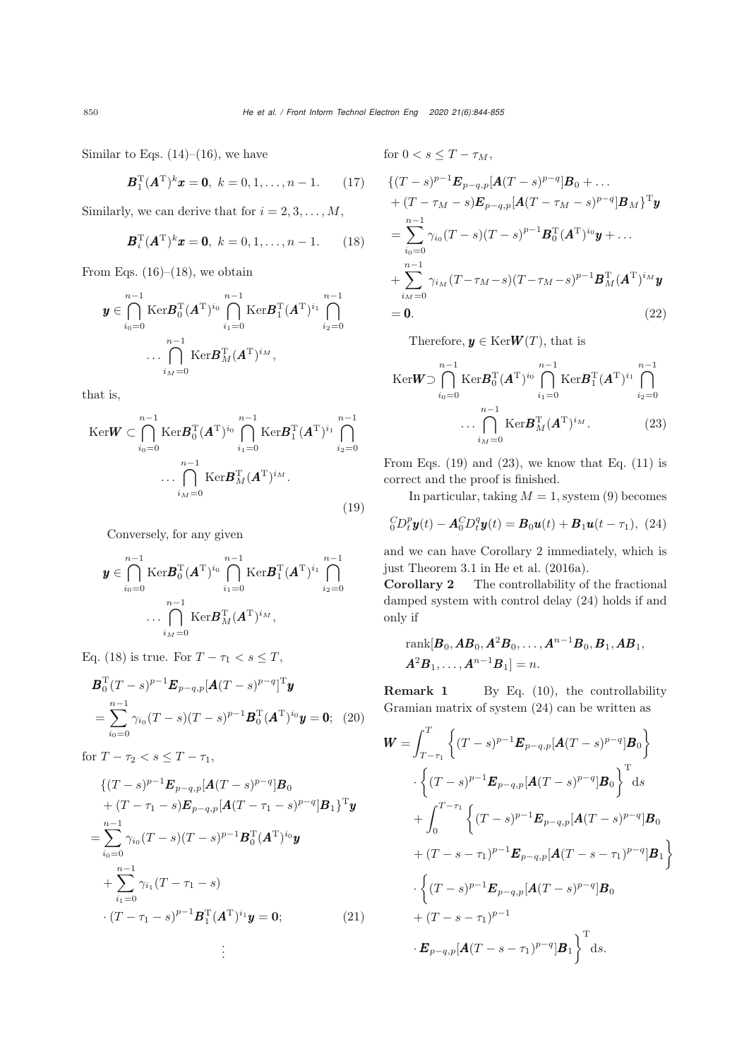Similar to Eqs.  $(14)$ – $(16)$ , we have

$$
\boldsymbol{B}_1^{\mathrm{T}}(\boldsymbol{A}^{\mathrm{T}})^k \boldsymbol{x} = \boldsymbol{0}, \ k = 0, 1, \dots, n - 1. \tag{17}
$$

<span id="page-6-0"></span>Similarly, we can derive that for  $i = 2, 3, \ldots, M$ ,

$$
\boldsymbol{B}_i^{\mathrm{T}}(\boldsymbol{A}^{\mathrm{T}})^k \boldsymbol{x} = \boldsymbol{0}, \ k = 0, 1, \dots, n - 1.
$$
 (18)

From Eqs.  $(16)$ – $(18)$ , we obtain

$$
\boldsymbol{y} \in \bigcap_{i_0=0}^{n-1} \text{Ker} \boldsymbol{B}_0^{\text{T}} (\boldsymbol{A}^{\text{T}})^{i_0} \bigcap_{i_1=0}^{n-1} \text{Ker} \boldsymbol{B}_1^{\text{T}} (\boldsymbol{A}^{\text{T}})^{i_1} \bigcap_{i_2=0}^{n-1} \dots \bigcap_{i_M=0}^{n-1} \text{Ker} \boldsymbol{B}_M^{\text{T}} (\boldsymbol{A}^{\text{T}})^{i_M},
$$

that is,

<span id="page-6-1"></span>
$$
\begin{aligned} \text{Ker} \mathbf{W} &\subset \bigcap_{i_0=0}^{n-1} \text{Ker} \mathbf{B}_0^{\text{T}} (\mathbf{A}^{\text{T}})^{i_0} \bigcap_{i_1=0}^{n-1} \text{Ker} \mathbf{B}_1^{\text{T}} (\mathbf{A}^{\text{T}})^{i_1} \bigcap_{i_2=0}^{n-1} \\ &\cdots \bigcap_{i_M=0}^{n-1} \text{Ker} \mathbf{B}_M^{\text{T}} (\mathbf{A}^{\text{T}})^{i_M}. \end{aligned} \tag{19}
$$

Conversely, for any given

$$
\boldsymbol{y} \in \bigcap_{i_0=0}^{n-1} \text{Ker} \boldsymbol{B}_0^{\text{T}}(\boldsymbol{A}^{\text{T}})^{i_0} \bigcap_{i_1=0}^{n-1} \text{Ker} \boldsymbol{B}_1^{\text{T}}(\boldsymbol{A}^{\text{T}})^{i_1} \bigcap_{i_2=0}^{n-1} \dots \bigcap_{i_M=0}^{n-1} \text{Ker} \boldsymbol{B}_M^{\text{T}}(\boldsymbol{A}^{\text{T}})^{i_M},
$$

Eq. [\(18\)](#page-6-0) is true. For  $T - \tau_1 < s \leq T$ ,

$$
\mathbf{B}_0^{\mathrm{T}}(T-s)^{p-1}\mathbf{E}_{p-q,p}[\mathbf{A}(T-s)^{p-q}]^{\mathrm{T}}\mathbf{y}
$$
  
=
$$
\sum_{i_0=0}^{n-1} \gamma_{i_0}(T-s)(T-s)^{p-1}\mathbf{B}_0^{\mathrm{T}}(\mathbf{A}^{\mathrm{T}})^{i_0}\mathbf{y}=\mathbf{0};
$$
 (20)

for  $T - \tau_2 < s \leq T - \tau_1$ ,

$$
\begin{aligned}\n\{(T-s)^{p-1}\mathbf{E}_{p-q,p}[\mathbf{A}(T-s)^{p-q}]\mathbf{B}_0 \\
&+(T-\tau_1-s)\mathbf{E}_{p-q,p}[\mathbf{A}(T-\tau_1-s)^{p-q}]\mathbf{B}_1\}^{\mathrm{T}}\mathbf{y} \\
&=\sum_{i_0=0}^{n-1} \gamma_{i_0}(T-s)(T-s)^{p-1}\mathbf{B}_0^{\mathrm{T}}(\mathbf{A}^{\mathrm{T}})^{i_0}\mathbf{y} \\
&+\sum_{i_1=0}^{n-1} \gamma_{i_1}(T-\tau_1-s) \\
&\cdot(T-\tau_1-s)^{p-1}\mathbf{B}_1^{\mathrm{T}}(\mathbf{A}^{\mathrm{T}})^{i_1}\mathbf{y}=\mathbf{0};\n\end{aligned} \tag{21}
$$

for 
$$
0 < s \leq T - \tau_M
$$
,

$$
\{ (T - s)^{p-1} \mathbf{E}_{p-q,p} [\mathbf{A} (T - s)^{p-q}] \mathbf{B}_0 + \dots + (T - \tau_M - s) \mathbf{E}_{p-q,p} [\mathbf{A} (T - \tau_M - s)^{p-q}] \mathbf{B}_M \}^{\mathrm{T}} \mathbf{y} = \sum_{i_0=0}^{n-1} \gamma_{i_0} (T - s) (T - s)^{p-1} \mathbf{B}_0^{\mathrm{T}} (\mathbf{A}^{\mathrm{T}})^{i_0} \mathbf{y} + \dots + \sum_{i_M=0}^{n-1} \gamma_{i_M} (T - \tau_M - s) (T - \tau_M - s)^{p-1} \mathbf{B}_M^{\mathrm{T}} (\mathbf{A}^{\mathrm{T}})^{i_M} \mathbf{y} = \mathbf{0}.
$$
 (22)

<span id="page-6-2"></span>Therefore,  $y \in \text{Ker}W(T)$ , that is

$$
\text{Ker}\mathbf{W} \supset \bigcap_{i_0=0}^{n-1} \text{Ker}\mathbf{B}_0^{\text{T}}(\mathbf{A}^{\text{T}})^{i_0} \bigcap_{i_1=0}^{n-1} \text{Ker}\mathbf{B}_1^{\text{T}}(\mathbf{A}^{\text{T}})^{i_1} \bigcap_{i_2=0}^{n-1}
$$

$$
\dots \bigcap_{i_M=0}^{n-1} \text{Ker}\mathbf{B}_M^{\text{T}}(\mathbf{A}^{\text{T}})^{i_M}.
$$
(23)

From Eqs.  $(19)$  and  $(23)$ , we know that Eq.  $(11)$  is correct and the proof is finished.

In particular, taking  $M = 1$ , system [\(9\)](#page-4-1) becomes

<span id="page-6-3"></span>
$$
{}_{0}^{C}D_{t}^{p}y(t) - A_{0}^{C}D_{t}^{q}y(t) = B_{0}u(t) + B_{1}u(t - \tau_{1}), \tag{24}
$$

and we can have Corollary 2 immediately, which is just Theorem 3.1 in [He et al.](#page-10-7) [\(2016a](#page-10-7)).

Corollary 2 The controllability of the fractional damped system with control delay [\(24\)](#page-6-3) holds if and only if

rank[B0,AB0,A<sup>2</sup> B0,...,A<sup>n</sup>−<sup>1</sup> B0,B1,AB1, A<sup>2</sup> B1,...,A<sup>n</sup>−<sup>1</sup> B1] = n.

**Remark 1** By Eq. [\(10\)](#page-4-2), the controllability Gramian matrix of system [\(24\)](#page-6-3) can be written as

$$
\mathbf{W} = \int_{T-\tau_1}^{T} \left\{ (T-s)^{p-1} \mathbf{E}_{p-q,p} [\mathbf{A}(T-s)^{p-q}] \mathbf{B}_0 \right\}
$$

$$
\cdot \left\{ (T-s)^{p-1} \mathbf{E}_{p-q,p} [\mathbf{A}(T-s)^{p-q}] \mathbf{B}_0 \right\}^{\mathrm{T}} ds
$$

$$
+ \int_0^{T-\tau_1} \left\{ (T-s)^{p-1} \mathbf{E}_{p-q,p} [\mathbf{A}(T-s)^{p-q}] \mathbf{B}_0 \right\}
$$

$$
+ (T-s-\tau_1)^{p-1} \mathbf{E}_{p-q,p} [\mathbf{A}(T-s-\tau_1)^{p-q}] \mathbf{B}_1 \right\}
$$

$$
\cdot \left\{ (T-s)^{p-1} \mathbf{E}_{p-q,p} [\mathbf{A}(T-s)^{p-q}] \mathbf{B}_0 \right\}
$$

$$
+ (T-s-\tau_1)^{p-1}
$$

$$
\cdot \mathbf{E}_{p-q,p} [\mathbf{A}(T-s-\tau_1)^{p-q}] \mathbf{B}_1 \right\}^{\mathrm{T}} ds.
$$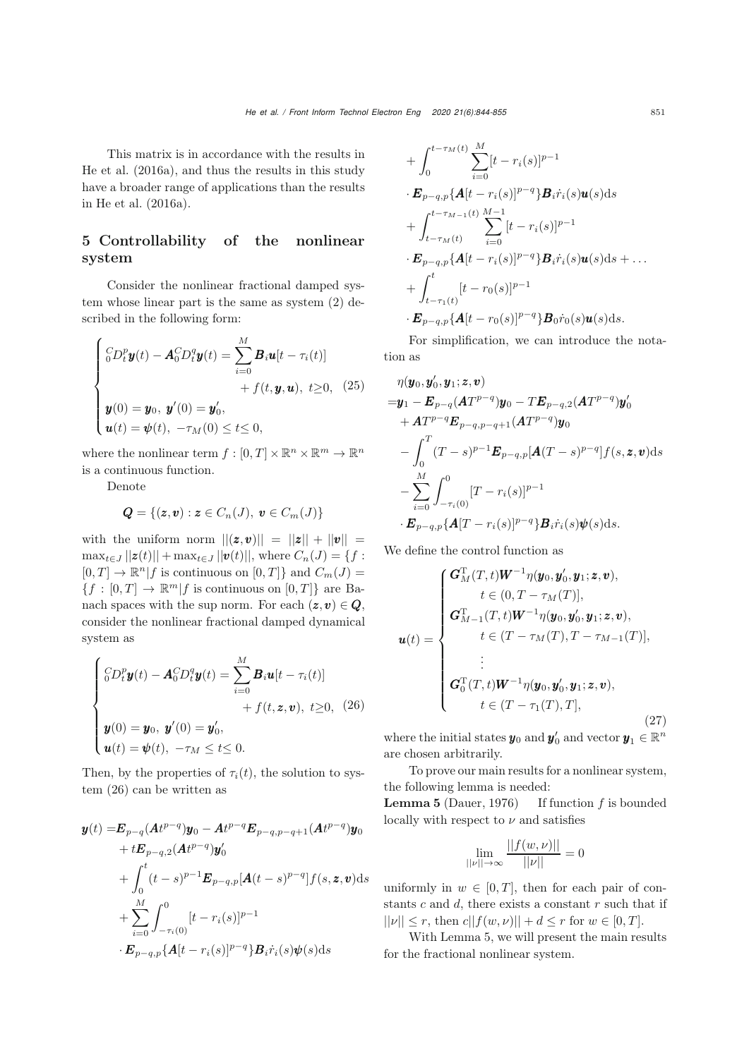This matrix is in accordance with the results in [He et al.](#page-10-7) [\(2016a\)](#page-10-7), and thus the results in this study have a broader range of applications than the results in [He et al.](#page-10-7) [\(2016a](#page-10-7)).

# 5 Controllability of the nonlinear system

Consider the nonlinear fractional damped system whose linear part is the same as system [\(2\)](#page-2-0) described in the following form:

<span id="page-7-1"></span>
$$
\begin{cases} {}^{C}_{0}D_{t}^{p} \mathbf{y}(t) - \mathbf{A}_{0}^{C}D_{t}^{q} \mathbf{y}(t) = \sum_{i=0}^{M} \mathbf{B}_{i} \mathbf{u}[t - \tau_{i}(t)] \\ + f(t, \mathbf{y}, \mathbf{u}), \ t \geq 0, \ (25) \\ \mathbf{y}(0) = \mathbf{y}_{0}, \ \mathbf{y}'(0) = \mathbf{y}'_{0}, \\ \mathbf{u}(t) = \mathbf{\psi}(t), \ -\tau_{M}(0) \leq t \leq 0, \end{cases}
$$

where the nonlinear term  $f : [0, T] \times \mathbb{R}^n \times \mathbb{R}^m \to \mathbb{R}^n$ is a continuous function.

Denote

$$
\mathbf{Q} = \{(\mathbf{z}, \mathbf{v}): \mathbf{z} \in C_n(J),\; \mathbf{v} \in C_m(J)\}
$$

with the uniform norm  $||(z,v)|| = ||z|| + ||v|| =$  $\max_{t \in J} ||z(t)|| + \max_{t \in J} ||v(t)||$ , where  $C_n(J) = \{f :$  $[0, T] \to \mathbb{R}^n | f$  is continuous on  $[0, T]$  and  $C_m(J)$  =  ${f : [0, T] \to \mathbb{R}^m | f \text{ is continuous on } [0, T]}$  are Banach spaces with the sup norm. For each  $(z,v) \in Q$ , consider the nonlinear fractional damped dynamical system as

<span id="page-7-0"></span>
$$
\begin{cases}\n\int_{0}^{C} D_{t}^{p} \mathbf{y}(t) - \mathbf{A}_{0}^{C} D_{t}^{q} \mathbf{y}(t) = \sum_{i=0}^{M} \mathbf{B}_{i} \mathbf{u}[t - \tau_{i}(t)] \\
+ f(t, \mathbf{z}, \mathbf{v}), \ t \geq 0, \ (26) \\
\mathbf{y}(0) = \mathbf{y}_{0}, \ \mathbf{y}'(0) = \mathbf{y}'_{0}, \\
\mathbf{u}(t) = \psi(t), \ -\tau_{M} \leq t \leq 0.\n\end{cases}
$$

Then, by the properties of  $\tau_i(t)$ , the solution to system [\(26\)](#page-7-0) can be written as

$$
\mathbf{y}(t) = \mathbf{E}_{p-q} (\mathbf{A}t^{p-q}) \mathbf{y}_0 - \mathbf{A}t^{p-q} \mathbf{E}_{p-q,p-q+1} (\mathbf{A}t^{p-q}) \mathbf{y}_0 \n+ t\mathbf{E}_{p-q,2} (\mathbf{A}t^{p-q}) \mathbf{y}_0' \n+ \int_0^t (t-s)^{p-1} \mathbf{E}_{p-q,p} [\mathbf{A}(t-s)^{p-q}] f(s, z, v) ds \n+ \sum_{i=0}^M \int_{-\tau_i(0)}^0 [t-r_i(s)]^{p-1} \n\cdot \mathbf{E}_{p-q,p} {\mathbf{A}[t-r_i(s)]^{p-q}} \mathbf{B}_i \dot{r}_i(s) \psi(s) ds
$$

+ 
$$
\int_0^{t-\tau_M(t)} \sum_{i=0}^M [t-r_i(s)]^{p-1}
$$
  
\n $\cdot \mathbf{E}_{p-q,p} \{A[t-r_i(s)]^{p-q}\}B_i\dot{r}_i(s)\mathbf{u}(s)ds$   
\n+  $\int_{t-\tau_M(t)}^{t-\tau_{M-1}(t)} \sum_{i=0}^{M-1} [t-r_i(s)]^{p-1}$   
\n $\cdot \mathbf{E}_{p-q,p} \{A[t-r_i(s)]^{p-q}\}B_i\dot{r}_i(s)\mathbf{u}(s)ds + ...$   
\n+  $\int_{t-\tau_1(t)}^{t} [t-r_0(s)]^{p-1}$   
\n $\cdot \mathbf{E}_{p-q,p} \{A[t-r_0(s)]^{p-q}\}B_0\dot{r}_0(s)\mathbf{u}(s)ds.$ 

For simplification, we can introduce the notation as

$$
\eta(\mathbf{y}_0, \mathbf{y}'_0, \mathbf{y}_1; \mathbf{z}, \mathbf{v})
$$
\n
$$
= \mathbf{y}_1 - \mathbf{E}_{p-q} (A T^{p-q}) \mathbf{y}_0 - T \mathbf{E}_{p-q,2} (A T^{p-q}) \mathbf{y}'_0
$$
\n
$$
+ A T^{p-q} \mathbf{E}_{p-q, p-q+1} (A T^{p-q}) \mathbf{y}_0
$$
\n
$$
- \int_0^T (T - s)^{p-1} \mathbf{E}_{p-q, p} [A (T - s)^{p-q}] f(s, \mathbf{z}, \mathbf{v}) ds
$$
\n
$$
- \sum_{i=0}^M \int_{-\tau_i(0)}^0 [T - r_i(s)]^{p-1}
$$
\n
$$
\cdot \mathbf{E}_{p-q, p} \{A [T - r_i(s)]^{p-q} \} \mathbf{B}_i \dot{r}_i(s) \psi(s) ds.
$$

We define the control function as

<span id="page-7-2"></span>
$$
\mathbf{u}(t) = \begin{cases}\n\mathbf{G}_{M}^{T}(T,t)\mathbf{W}^{-1}\eta(\mathbf{y}_{0},\mathbf{y}_{0}',\mathbf{y}_{1};\mathbf{z},\mathbf{v}), \\
t \in (0,T-\tau_{M}(T)], \\
\mathbf{G}_{M-1}^{T}(T,t)\mathbf{W}^{-1}\eta(\mathbf{y}_{0},\mathbf{y}_{0}',\mathbf{y}_{1};\mathbf{z},\mathbf{v}), \\
t \in (T-\tau_{M}(T),T-\tau_{M-1}(T)], \\
\vdots \\
\mathbf{G}_{0}^{T}(T,t)\mathbf{W}^{-1}\eta(\mathbf{y}_{0},\mathbf{y}_{0}',\mathbf{y}_{1};\mathbf{z},\mathbf{v}), \\
t \in (T-\tau_{1}(T),T],\n\end{cases}
$$
\n(27)

where the initial states  $y_0$  and  $y'_0$  and vector  $y_1 \in \mathbb{R}^n$ are chosen arbitrarily.

To prove our main results for a nonlinear system, the following lemma is needed:

**Lemma 5** [\(Dauer](#page-10-9), [1976\)](#page-10-9) If function  $f$  is bounded locally with respect to  $\nu$  and satisfies

$$
\lim_{||\nu||\to\infty}\frac{||f(w,\nu)||}{||\nu||}=0
$$

uniformly in  $w \in [0, T]$ , then for each pair of constants  $c$  and  $d$ , there exists a constant  $r$  such that if  $||\nu|| \leq r$ , then  $c||f(w, \nu)|| + d \leq r$  for  $w \in [0, T]$ .

With Lemma 5, we will present the main results for the fractional nonlinear system.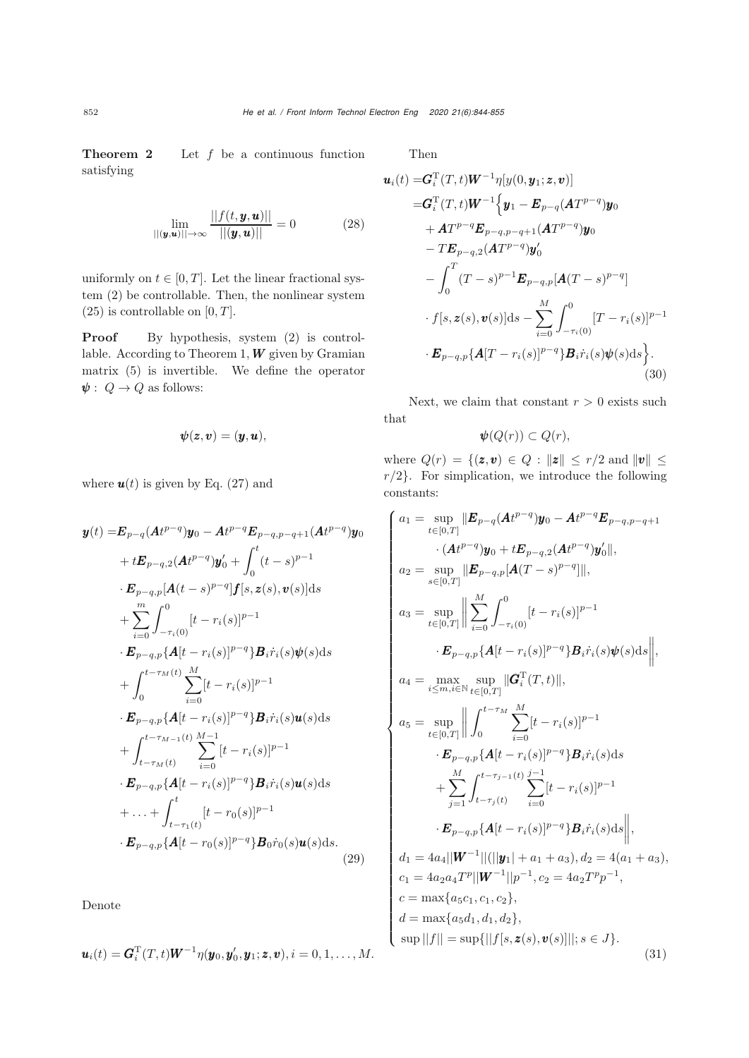<span id="page-8-1"></span> $\boldsymbol{u}_i$ 

**Theorem 2** Let  $f$  be a continuous function satisfying

<span id="page-8-2"></span>
$$
\lim_{||(\bm{y},\bm{u})|| \to \infty} \frac{||f(t,\bm{y},\bm{u})||}{||(\bm{y},\bm{u})||} = 0
$$
 (28)

uniformly on  $t \in [0, T]$ . Let the linear fractional system [\(2\)](#page-2-0) be controllable. Then, the nonlinear system  $(25)$  is controllable on  $[0, T]$ .

Proof By hypothesis, system [\(2\)](#page-2-0) is controllable. According to Theorem 1,  $W$  given by Gramian matrix [\(5\)](#page-2-3) is invertible. We define the operator  $\pmb{\psi}:\; Q \rightarrow Q$  as follows:

$$
\boldsymbol{\psi}(\boldsymbol{z},\boldsymbol{v}) = (\boldsymbol{y},\boldsymbol{u}),
$$

where  $u(t)$  is given by Eq. [\(27\)](#page-7-2) and

<span id="page-8-0"></span>
$$
\mathbf{y}(t) = \mathbf{E}_{p-q} (\mathbf{A}t^{p-q}) \mathbf{y}_0 - \mathbf{A}t^{p-q} \mathbf{E}_{p-q,p-q+1} (\mathbf{A}t^{p-q}) \mathbf{y}_0 \n+ t\mathbf{E}_{p-q,2} (\mathbf{A}t^{p-q}) \mathbf{y}_0' + \int_0^t (t-s)^{p-1} \n\cdot \mathbf{E}_{p-q,p} [\mathbf{A}(t-s)^{p-q}] \mathbf{f}[s, \mathbf{z}(s), \mathbf{v}(s)] \, ds \n+ \sum_{i=0}^m \int_{-\tau_i(0)}^0 [t-r_i(s)]^{p-1} \n\cdot \mathbf{E}_{p-q,p} {\mathbf{A}(t-r_i(s))}^{p-q} \mathbf{B}_i \dot{r}_i(s) \psi(s) \, ds \n+ \int_0^{t-\tau_M(t)} \sum_{i=0}^M [t-r_i(s)]^{p-1} \n\cdot \mathbf{E}_{p-q,p} {\mathbf{A}(t-r_i(s))}^{p-q} \mathbf{B}_i \dot{r}_i(s) \mathbf{u}(s) \, ds \n+ \int_{t-\tau_M(t)}^{t-\tau_{M-1}(t)} \sum_{i=0}^{M-1} [t-r_i(s)]^{p-1} \n\cdot \mathbf{E}_{p-q,p} {\mathbf{A}(t-r_i(s))}^{p-q} \mathbf{B}_i \dot{r}_i(s) \mathbf{u}(s) \, ds \n+ \ldots + \int_{t-\tau_1(t)}^t [t-r_0(s)]^{p-1} \n\cdot \mathbf{E}_{p-q,p} {\mathbf{A}(t-r_0(s))}^{p-q} \mathbf{B}_0 \dot{r}_0(s) \mathbf{u}(s) \, ds. \tag{29}
$$

Denote

$$
\boldsymbol{u}_i(t) = \boldsymbol{G}_i^{\mathrm{T}}(T,t)\boldsymbol{W}^{-1}\eta(\boldsymbol{y}_0,\boldsymbol{y}_0',\boldsymbol{y}_1;\boldsymbol{z},\boldsymbol{v}), i=0,1,\ldots,M.
$$

Then

$$
(t) = G_i^{\mathrm{T}}(T, t)W^{-1}\eta[y(0, y_1; z, v)]
$$
  
\n
$$
= G_i^{\mathrm{T}}(T, t)W^{-1}\Big\{y_1 - E_{p-q}(AT^{p-q})y_0
$$
  
\n
$$
+ AT^{p-q}E_{p-q,p-q+1}(AT^{p-q})y_0
$$
  
\n
$$
- TE_{p-q,2}(AT^{p-q})y'_0
$$
  
\n
$$
- \int_0^T (T-s)^{p-1}E_{p-q,p}[A(T-s)^{p-q}]
$$
  
\n
$$
\cdot f[s, z(s), v(s)]ds - \sum_{i=0}^M \int_{-\tau_i(0)}^0 [T - r_i(s)]^{p-1}
$$
  
\n
$$
\cdot E_{p-q,p}\{A[T - r_i(s)]^{p-q}\}B_i\dot{r}_i(s)\psi(s)ds\}.
$$
  
\n(30)

Next, we claim that constant  $r > 0$  exists such that

$$
\psi(Q(r)) \subset Q(r),
$$

where  $Q(r) = \{(\mathbf{z}, \mathbf{v}) \in Q : ||\mathbf{z}|| \leq r/2 \text{ and } ||\mathbf{v}|| \leq r\}$  $r/2$ . For simplication, we introduce the following constants:

<span id="page-8-3"></span>
$$
a_1 = \sup_{t \in [0,T]} \|E_{p-q}(At^{p-q})y_0 - At^{p-q}E_{p-q,p-q+1}
$$
  
\n
$$
\cdot (At^{p-q})y_0 + tE_{p-q,2}(At^{p-q})y'_0\|,
$$
  
\n
$$
a_2 = \sup_{s \in [0,T]} \|E_{p-q,p}[A(T-s)^{p-q}]\|,
$$
  
\n
$$
a_3 = \sup_{t \in [0,T]} \left\| \sum_{i=0}^M \int_{-\tau_i(0)}^0 [t-r_i(s)]^{p-1}
$$
  
\n
$$
\cdot E_{p-q,p}\{A[t-r_i(s)]^{p-q}\}B_i\dot{r}_i(s)\psi(s)ds\right\|,
$$
  
\n
$$
a_4 = \max_{i \le m,i \in \mathbb{N}} \sup_{t \in [0,T]} \|G_i^T(T,t)\|,
$$
  
\n
$$
a_5 = \sup_{t \in [0,T]} \left\| \int_0^{t-\tau_M} \sum_{i=0}^M [t-r_i(s)]^{p-1}
$$
  
\n
$$
\cdot E_{p-q,p}\{A[t-r_i(s)]^{p-q}\}B_i\dot{r}_i(s)ds
$$
  
\n
$$
+ \sum_{j=1}^M \int_{t-\tau_j(t)}^{t-\tau_{j-1}(t)} \sum_{i=0}^{j-1} [t-r_i(s)]^{p-1}
$$
  
\n
$$
\cdot E_{p-q,p}\{A[t-r_i(s)]^{p-q}\}B_i\dot{r}_i(s)ds\right\|,
$$
  
\n
$$
d_1 = 4a_4 ||W^{-1}||(||y_1| + a_1 + a_3), d_2 = 4(a_1 + a_3),
$$
  
\n
$$
c_1 = 4a_2a_4T^p ||W^{-1}||p^{-1}, c_2 = 4a_2T^pp^{-1},
$$
  
\n
$$
c = \max\{a_5c_1, c_1, c_2\},
$$
  
\n
$$
d = \max\{a_5d_1, d_1, d_2\},
$$
  
\n
$$
\sup ||f|| = \sup\{||f[s, z(s), v(s)]||; s \in J\}.
$$
  
\n(31)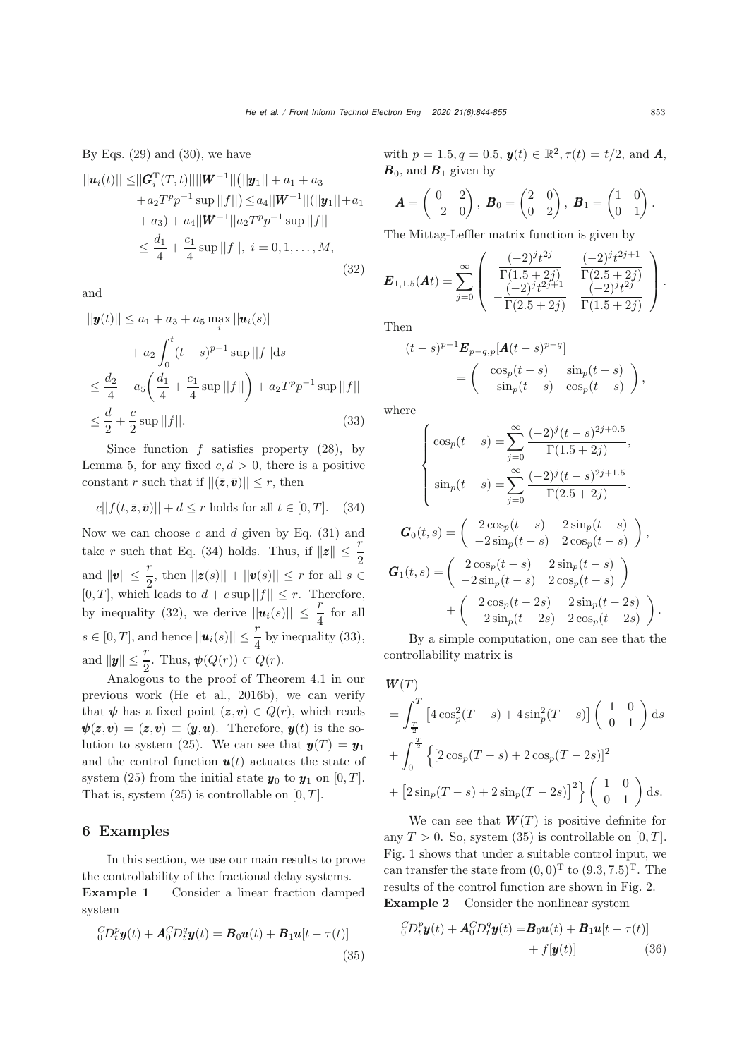By Eqs.  $(29)$  and  $(30)$ , we have

$$
||\mathbf{u}_i(t)|| \leq ||\mathbf{G}_i^{\mathrm{T}}(T,t)|| ||\mathbf{W}^{-1}|| (||\mathbf{y}_1|| + a_1 + a_3 + a_2 T^p p^{-1} \sup ||f||) \leq a_4 ||\mathbf{W}^{-1}|| (||\mathbf{y}_1|| + a_1 + a_3) + a_4 ||\mathbf{W}^{-1}|| a_2 T^p p^{-1} \sup ||f|| \leq \frac{d_1}{4} + \frac{c_1}{4} \sup ||f||, \ i = 0, 1, ..., M,
$$
\n(32)

and

 $||\cdot||$  and  $||$ 

$$
||\mathbf{y}(t)|| \le a_1 + a_3 + a_5 \max_{i} ||\mathbf{u}_i(s)||
$$
  
+  $a_2 \int_0^t (t-s)^{p-1} \sup_{s} ||f|| ds$   
 $\le \frac{d_2}{4} + a_5 \left( \frac{d_1}{4} + \frac{c_1}{4} \sup_{s} ||f|| \right) + a_2 T^p p^{-1} \sup_{s} ||f||$   
 $\le \frac{d}{2} + \frac{c}{2} \sup_{s} ||f||.$  (33)

 $\overline{u}$   $\overline{u}$   $\overline{u}$ 

Since function  $f$  satisfies property  $(28)$ , by Lemma 5, for any fixed  $c, d > 0$ , there is a positive constant r such that if  $||(\bar{z},\bar{v})|| \leq r$ , then

<span id="page-9-0"></span>
$$
c||f(t, \bar{z}, \bar{v})|| + d \le r \text{ holds for all } t \in [0, T]. \quad (34)
$$

Now we can choose  $c$  and  $d$  given by Eq. [\(31\)](#page-8-3) and take r such that Eq. [\(34\)](#page-9-0) holds. Thus, if  $||z|| \leq \frac{r}{2}$ and  $||v|| \leq \frac{r}{2}$ , then  $||z(s)|| + ||v(s)|| \leq r$  for all  $s \in$  $[0, T]$ , which leads to  $d + c \sup ||f|| \leq r$ . Therefore, by inequality [\(32\)](#page-9-1), we derive  $||u_i(s)|| \leq \frac{r}{4}$  for all  $s \in [0, T]$ , and hence  $||\boldsymbol{u}_i(s)|| \leq \frac{r}{4}$  by inequality [\(33\)](#page-9-2), and  $\|\mathbf{y}\| \leq \frac{r}{2}$ . Thus,  $\boldsymbol{\psi}(Q(r)) \subset Q(r)$ .

Analogous to the proof of Theorem 4.1 in our previous work [\(He et al., 2016b\)](#page-10-8), we can verify that  $\psi$  has a fixed point  $(z,v) \in Q(r)$ , which reads  $\psi(z,v)=(z,v) \equiv (y,u)$ . Therefore,  $y(t)$  is the so-lution to system [\(25\)](#page-7-1). We can see that  $y(T) = y_1$ and the control function  $u(t)$  actuates the state of system [\(25\)](#page-7-1) from the initial state  $y_0$  to  $y_1$  on [0, T]. That is, system  $(25)$  is controllable on  $[0, T]$ .

#### 6 Examples

In this section, we use our main results to prove the controllability of the fractional delay systems.

Example 1 Consider a linear fraction damped system

<span id="page-9-3"></span>
$$
{}_{0}^{C}D_{t}^{p}\mathbf{y}(t) + \mathbf{A}_{0}^{C}D_{t}^{q}\mathbf{y}(t) = \mathbf{B}_{0}\mathbf{u}(t) + \mathbf{B}_{1}\mathbf{u}[t - \tau(t)]
$$
\n(35)

with  $p = 1.5, q = 0.5, y(t) \in \mathbb{R}^2, \tau(t) = t/2$ , and **A**,  $\mathbf{B}_0$ , and  $\mathbf{B}_1$  given by

$$
\boldsymbol{A} = \begin{pmatrix} 0 & 2 \\ -2 & 0 \end{pmatrix}, \ \boldsymbol{B}_0 = \begin{pmatrix} 2 & 0 \\ 0 & 2 \end{pmatrix}, \ \boldsymbol{B}_1 = \begin{pmatrix} 1 & 0 \\ 0 & 1 \end{pmatrix}.
$$

The Mittag-Leffler matrix function is given by

<span id="page-9-4"></span><span id="page-9-1"></span>
$$
\boldsymbol{E}_{1,1.5}(\boldsymbol{A}t) = \sum_{j=0}^{\infty} \begin{pmatrix} \frac{(-2)^{j}t^{2j}}{\Gamma(1.5+2j)} & \frac{(-2)^{j}t^{2j+1}}{\Gamma(2.5+2j)} \\ -\frac{(-2)^{j}t^{2j+1}}{\Gamma(2.5+2j)} & \frac{(-2)^{j}t^{2j}}{\Gamma(1.5+2j)} \end{pmatrix}.
$$

Then

$$
(t-s)^{p-1}E_{p-q,p}[A(t-s)^{p-q}]
$$
  
= 
$$
\begin{pmatrix} \cos_p(t-s) & \sin_p(t-s) \\ -\sin_p(t-s) & \cos_p(t-s) \end{pmatrix},
$$

<span id="page-9-2"></span>where

$$
\mathbf{G}_0(t,s) = \sum_{j=0}^{\infty} \frac{(-2)^j (t-s)^{2j+0.5}}{\Gamma(1.5+2j)},
$$
  
\n
$$
\sin_p(t-s) = \sum_{j=0}^{\infty} \frac{(-2)^j (t-s)^{2j+1.5}}{\Gamma(2.5+2j)}.
$$
  
\n
$$
\mathbf{G}_0(t,s) = \begin{pmatrix} 2\cos_p(t-s) & 2\sin_p(t-s) \\ 2\sin_p(t-s) & 2\cos_p(t-s) \end{pmatrix}
$$

$$
G_0(t,s) = \begin{pmatrix} 2\cos_p(t-s) & 2\sin_p(t-s) \\ -2\sin_p(t-s) & 2\cos_p(t-s) \end{pmatrix},
$$
  
\n
$$
G_1(t,s) = \begin{pmatrix} 2\cos_p(t-s) & 2\sin_p(t-s) \\ -2\sin_p(t-s) & 2\cos_p(t-s) \end{pmatrix}
$$
  
\n
$$
+ \begin{pmatrix} 2\cos_p(t-2s) & 2\sin_p(t-2s) \\ -2\sin_p(t-2s) & 2\cos_p(t-2s) \end{pmatrix}.
$$

By a simple computation, one can see that the controllability matrix is

$$
W(T)
$$
  
=  $\int_{\frac{T}{2}}^{T} \left[ 4 \cos_p^2 (T - s) + 4 \sin_p^2 (T - s) \right] \begin{pmatrix} 1 & 0 \\ 0 & 1 \end{pmatrix} ds$   
+  $\int_{0}^{\frac{T}{2}} \left\{ \left[ 2 \cos_p (T - s) + 2 \cos_p (T - 2s) \right]^2 \right\} + \left[ 2 \sin_p (T - s) + 2 \sin_p (T - 2s) \right]^2 \begin{pmatrix} 1 & 0 \\ 0 & 1 \end{pmatrix} ds.$ 

We can see that  $W(T)$  is positive definite for any  $T > 0$ . So, system [\(35\)](#page-9-3) is controllable on [0, T]. Fig. [1](#page-10-10) shows that under a suitable control input, we can transfer the state from  $(0,0)^T$  to  $(9.3, 7.5)^T$ . The results of the control function are shown in Fig. [2.](#page-10-11) Example 2 Consider the nonlinear system

$$
{}_{0}^{C}D_{t}^{p}\mathbf{y}(t) + \mathbf{A}_{0}^{C}D_{t}^{q}\mathbf{y}(t) = \mathbf{B}_{0}\mathbf{u}(t) + \mathbf{B}_{1}\mathbf{u}[t - \tau(t)] + f[\mathbf{y}(t)] \tag{36}
$$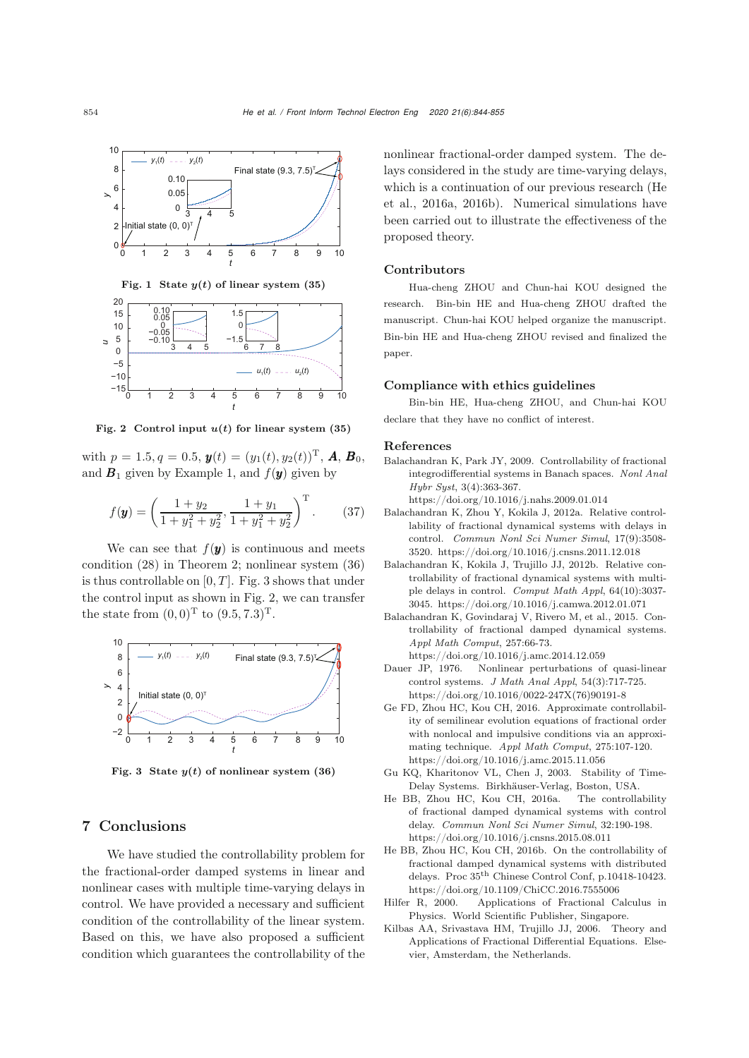

<span id="page-10-10"></span>Fig. 1 State  $y(t)$  of linear system (35)



<span id="page-10-11"></span>Fig. 2 Control input  $u(t)$  for linear system (35)

with  $p = 1.5, q = 0.5, y(t) = (y_1(t), y_2(t))^T, A, B_0,$ and  $B_1$  given by Example 1, and  $f(y)$  given by

$$
f(\mathbf{y}) = \left(\frac{1+y_2}{1+y_1^2+y_2^2}, \frac{1+y_1}{1+y_1^2+y_2^2}\right)^{\mathrm{T}}.\tag{37}
$$

We can see that  $f(y)$  is continuous and meets condition (28) in Theorem 2; nonlinear system [\(36\)](#page-9-4) is thus controllable on  $[0, T]$ . Fig. [3](#page-10-12) shows that under the control input as shown in Fig. [2,](#page-10-11) we can transfer the state from  $(0, 0)^T$  to  $(9.5, 7.3)^T$ .



<span id="page-10-12"></span>Fig. 3 State  $y(t)$  of nonlinear system (36)

### 7 Conclusions

We have studied the controllability problem for the fractional-order damped systems in linear and nonlinear cases with multiple time-varying delays in control. We have provided a necessary and sufficient condition of the controllability of the linear system. Based on this, we have also proposed a sufficient condition which guarantees the controllability of the nonlinear fractional-order damped system. The delays considered in the study are time-varying delays, which is a continuation of our previous research (He et al., 2016a, 2016b). Numerical simulations have been carried out to illustrate the effectiveness of the proposed theory.

#### Contributors

Hua-cheng ZHOU and Chun-hai KOU designed the research. Bin-bin HE and Hua-cheng ZHOU drafted the manuscript. Chun-hai KOU helped organize the manuscript. Bin-bin HE and Hua-cheng ZHOU revised and finalized the paper.

#### Compliance with ethics guidelines

Bin-bin HE, Hua-cheng ZHOU, and Chun-hai KOU declare that they have no conflict of interest.

#### References

<span id="page-10-2"></span>Balachandran K, Park JY, 2009. Controllability of fractional integrodifferential systems in Banach spaces. *Nonl Anal Hybr Syst*, 3(4):363-367.

https://doi.org/10.1016/j.nahs.2009.01.014

- <span id="page-10-6"></span>Balachandran K, Zhou Y, Kokila J, 2012a. Relative controllability of fractional dynamical systems with delays in control. *Commun Nonl Sci Numer Simul*, 17(9):3508- 3520. https://doi.org/10.1016/j.cnsns.2011.12.018
- Balachandran K, Kokila J, Trujillo JJ, 2012b. Relative controllability of fractional dynamical systems with multiple delays in control. *Comput Math Appl*, 64(10):3037- 3045. https://doi.org/10.1016/j.camwa.2012.01.071
- <span id="page-10-3"></span>Balachandran K, Govindaraj V, Rivero M, et al., 2015. Controllability of fractional damped dynamical systems. *Appl Math Comput*, 257:66-73.
- <span id="page-10-9"></span>https://doi.org/10.1016/j.amc.2014.12.059 Nonlinear perturbations of quasi-linear control systems. *J Math Anal Appl*, 54(3):717-725. https://doi.org/10.1016/0022-247X(76)90191-8
- <span id="page-10-4"></span>Ge FD, Zhou HC, Kou CH, 2016. Approximate controllability of semilinear evolution equations of fractional order with nonlocal and impulsive conditions via an approximating technique. *Appl Math Comput*, 275:107-120. https://doi.org/10.1016/j.amc.2015.11.056
- <span id="page-10-5"></span>Gu KQ, Kharitonov VL, Chen J, 2003. Stability of Time-Delay Systems. Birkhäuser-Verlag, Boston, USA.
- <span id="page-10-7"></span>He BB, Zhou HC, Kou CH, 2016a. The controllability of fractional damped dynamical systems with control delay. *Commun Nonl Sci Numer Simul*, 32:190-198. https://doi.org/10.1016/j.cnsns.2015.08.011
- <span id="page-10-8"></span>He BB, Zhou HC, Kou CH, 2016b. On the controllability of fractional damped dynamical systems with distributed delays. Proc 35th Chinese Control Conf, p.10418-10423. https://doi.org/10.1109/ChiCC.2016.7555006
- <span id="page-10-0"></span>Hilfer R, 2000. Applications of Fractional Calculus in Physics. World Scientific Publisher, Singapore.
- <span id="page-10-1"></span>Kilbas AA, Srivastava HM, Trujillo JJ, 2006. Theory and Applications of Fractional Differential Equations. Elsevier, Amsterdam, the Netherlands.